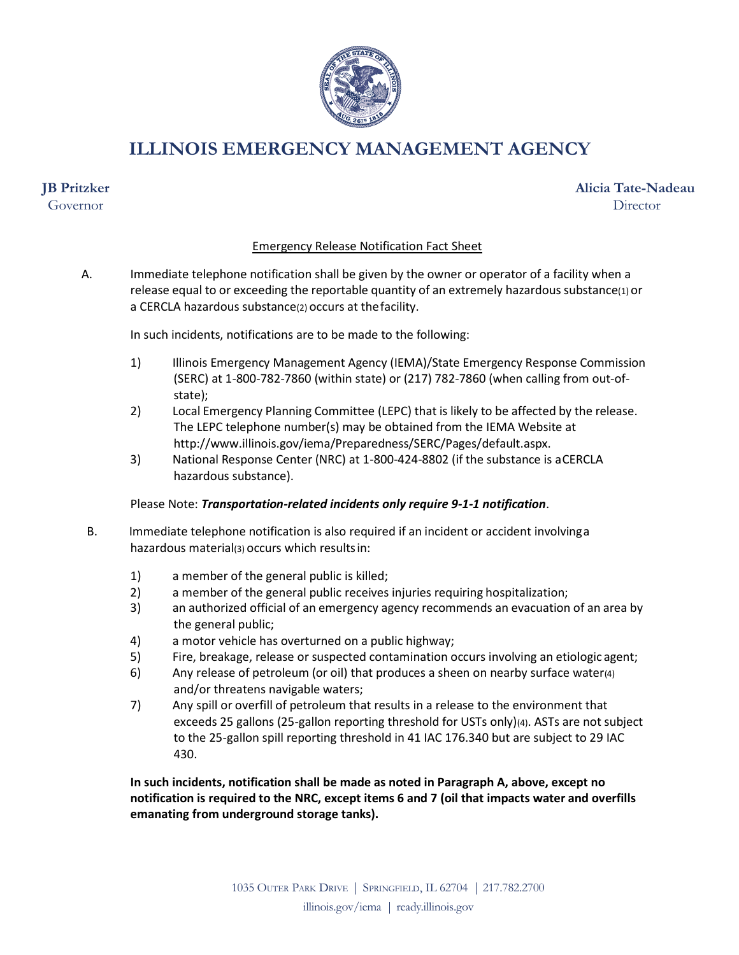

**ILLINOIS EMERGENCY MANAGEMENT AGENCY**

# **JB Pritzker**

Governor

## **Alicia Tate-Nadeau Director**

### Emergency Release Notification Fact Sheet

A. Immediate telephone notification shall be given by the owner or operator of a facility when a release equal to or exceeding the reportable quantity of an extremely hazardous substance(1) or a CERCLA hazardous substance(2) occurs at thefacility.

In such incidents, notifications are to be made to the following:

- 1) Illinois Emergency Management Agency (IEMA)/State Emergency Response Commission (SERC) at 1-800-782-7860 (within state) or (217) 782-7860 (when calling from out-ofstate);
- 2) Local Emergency Planning Committee (LEPC) that is likely to be affected by the release. The LEPC telephone number(s) may be obtained from the IEMA Website a[t](http://www.illinois.gov/iema/Preparedness/SERC/Pages/default.aspx) [http://www.illinois.gov/iema/Preparedness/SERC/Pages/default.aspx.](http://www.illinois.gov/iema/Preparedness/SERC/Pages/default.aspx)
- 3) National Response Center (NRC) at 1-800-424-8802 (if the substance is aCERCLA hazardous substance).

### Please Note: *Transportation-related incidents only require 9-1-1 notification*.

- B. Immediate telephone notification is also required if an incident or accident involvinga hazardous material(3) occurs which resultsin:
	- 1) a member of the general public is killed;
	- 2) a member of the general public receives injuries requiring hospitalization;
	- 3) an authorized official of an emergency agency recommends an evacuation of an area by the general public;
	- 4) a motor vehicle has overturned on a public highway;
	- 5) Fire, breakage, release or suspected contamination occurs involving an etiologic agent;
	- 6) Any release of petroleum (or oil) that produces a sheen on nearby surface water(4) and/or threatens navigable waters;
	- 7) Any spill or overfill of petroleum that results in a release to the environment that exceeds 25 gallons (25-gallon reporting threshold for USTs only)(4). ASTs are not subject to the 25-gallon spill reporting threshold in 41 IAC 176.340 but are subject to 29 IAC 430.

**In such incidents, notification shall be made as noted in Paragraph A, above, except no notification is required to the NRC, except items 6 and 7 (oil that impacts water and overfills emanating from underground storage tanks).**